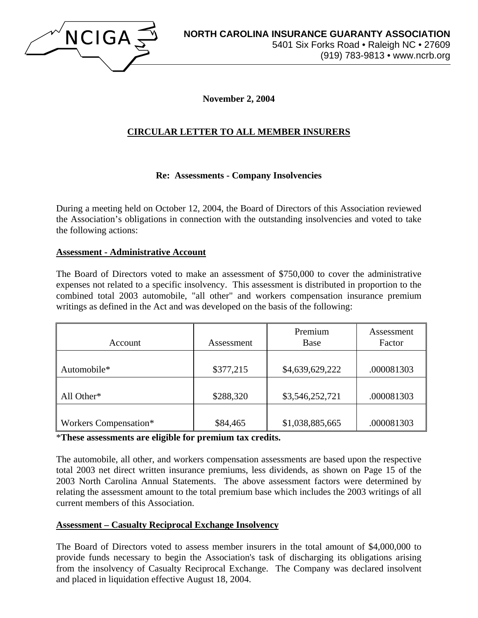

**November 2, 2004** 

# **CIRCULAR LETTER TO ALL MEMBER INSURERS**

## **Re: Assessments - Company Insolvencies**

During a meeting held on October 12, 2004, the Board of Directors of this Association reviewed the Association's obligations in connection with the outstanding insolvencies and voted to take the following actions:

#### **Assessment - Administrative Account**

The Board of Directors voted to make an assessment of \$750,000 to cover the administrative expenses not related to a specific insolvency. This assessment is distributed in proportion to the combined total 2003 automobile, "all other" and workers compensation insurance premium writings as defined in the Act and was developed on the basis of the following:

| Account               | Assessment | Premium<br>Base | Assessment<br>Factor |
|-----------------------|------------|-----------------|----------------------|
| Automobile*           | \$377,215  | \$4,639,629,222 | .000081303           |
| All Other*            | \$288,320  | \$3,546,252,721 | .000081303           |
| Workers Compensation* | \$84,465   | \$1,038,885,665 | .000081303           |

\***These assessments are eligible for premium tax credits.** 

The automobile, all other, and workers compensation assessments are based upon the respective total 2003 net direct written insurance premiums, less dividends, as shown on Page 15 of the 2003 North Carolina Annual Statements. The above assessment factors were determined by relating the assessment amount to the total premium base which includes the 2003 writings of all current members of this Association.

#### **Assessment – Casualty Reciprocal Exchange Insolvency**

The Board of Directors voted to assess member insurers in the total amount of \$4,000,000 to provide funds necessary to begin the Association's task of discharging its obligations arising from the insolvency of Casualty Reciprocal Exchange. The Company was declared insolvent and placed in liquidation effective August 18, 2004.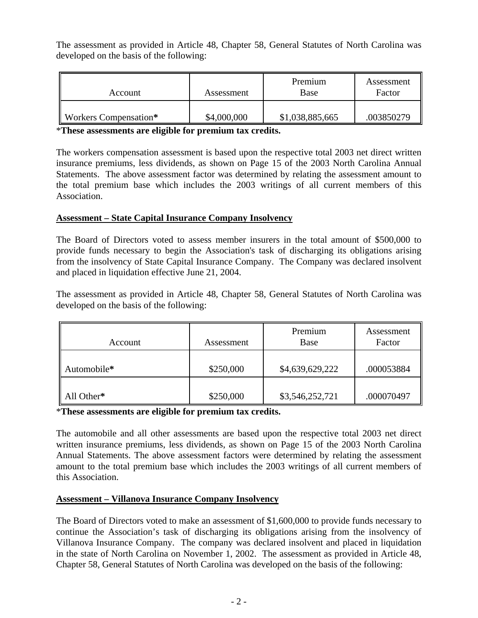The assessment as provided in Article 48, Chapter 58, General Statutes of North Carolina was developed on the basis of the following:

| Account               | Assessment  | Premium<br>Base | Assessment<br>Factor |
|-----------------------|-------------|-----------------|----------------------|
| Workers Compensation* | \$4,000,000 | \$1,038,885,665 | .003850279           |

\***These assessments are eligible for premium tax credits.** 

The workers compensation assessment is based upon the respective total 2003 net direct written insurance premiums, less dividends, as shown on Page 15 of the 2003 North Carolina Annual Statements. The above assessment factor was determined by relating the assessment amount to the total premium base which includes the 2003 writings of all current members of this Association.

## **Assessment – State Capital Insurance Company Insolvency**

The Board of Directors voted to assess member insurers in the total amount of \$500,000 to provide funds necessary to begin the Association's task of discharging its obligations arising from the insolvency of State Capital Insurance Company. The Company was declared insolvent and placed in liquidation effective June 21, 2004.

The assessment as provided in Article 48, Chapter 58, General Statutes of North Carolina was developed on the basis of the following:

| Account     | Assessment | Premium<br>Base | Assessment<br>Factor |
|-------------|------------|-----------------|----------------------|
| Automobile* | \$250,000  | \$4,639,629,222 | .000053884           |
| All Other*  | \$250,000  | \$3,546,252,721 | .000070497           |

\***These assessments are eligible for premium tax credits.** 

The automobile and all other assessments are based upon the respective total 2003 net direct written insurance premiums, less dividends, as shown on Page 15 of the 2003 North Carolina Annual Statements. The above assessment factors were determined by relating the assessment amount to the total premium base which includes the 2003 writings of all current members of this Association.

# **Assessment – Villanova Insurance Company Insolvency**

The Board of Directors voted to make an assessment of \$1,600,000 to provide funds necessary to continue the Association's task of discharging its obligations arising from the insolvency of Villanova Insurance Company. The company was declared insolvent and placed in liquidation in the state of North Carolina on November 1, 2002. The assessment as provided in Article 48, Chapter 58, General Statutes of North Carolina was developed on the basis of the following: